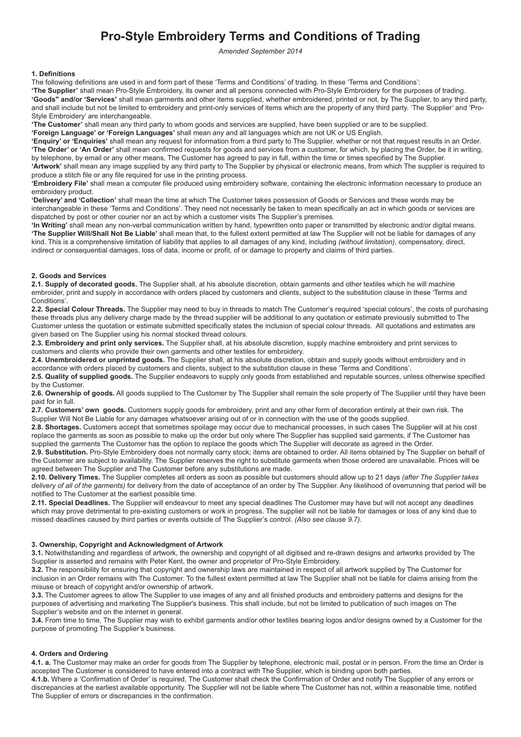# **Pro-Style Embroidery Terms and Conditions of Trading**

*Amended September 2014*

#### **1. Definitions**

The following definitions are used in and form part of these 'Terms and Conditions' of trading. In these 'Terms and Conditions':

**'The Supplier'** shall mean Pro-Style Embroidery, its owner and all persons connected with Pro-Style Embroidery for the purposes of trading. **'Goods" and/or 'Services'** shall mean garments and other items supplied, whether embroidered, printed or not, by The Supplier, to any third party, and shall include but not be limited to embroidery and print-only services of items which are the property of any third party. 'The Supplier' and 'Pro-Style Embroidery' are interchangeable.

**'The Customer'** shall mean any third party to whom goods and services are supplied, have been supplied or are to be supplied.

**'Foreign Language' or 'Foreign Languages'** shall mean any and all languages which are not UK or US English.

**'Enquiry' or 'Enquiries'** shall mean any request for information from a third party to The Supplier, whether or not that request results in an Order. **'The Order' or 'An Order'** shall mean confirmed requests for goods and services from a customer, for which, by placing the Order, be it in writing, by telephone, by email or any other means, The Customer has agreed to pay in full, within the time or times specified by The Supplier. **'Artwork'** shall mean any image supplied by any third party to The Supplier by physical or electronic means, from which The supplier is required to produce a stitch file or any file required for use in the printing process.

**'Embroidery File'** shall mean a computer file produced using embroidery software, containing the electronic information necessary to produce an embroidery product.

**'Delivery' and 'Collection'** shall mean the time at which The Customer takes possession of Goods or Services and these words may be interchangeable in these 'Terms and Conditions'. They need not necessarily be taken to mean specifically an act in which goods or services are dispatched by post or other courier nor an act by which a customer visits The Supplier's premises.

**'In Writing'** shall mean any non-verbal communication written by hand, typewritten onto paper or transmitted by electronic and/or digital means. **'The Supplier Will/Shall Not Be Liable'** shall mean that, to the fullest extent permitted at law The Supplier will not be liable for damages of any kind. This is a comprehensive limitation of liability that applies to all damages of any kind, including *(without limitation)*, compensatory, direct, indirect or consequential damages, loss of data, income or profit, of or damage to property and claims of third parties.

## **2. Goods and Services**

**2.1. Supply of decorated goods.** The Supplier shall, at his absolute discretion, obtain garments and other textiles which he will machine embroider, print and supply in accordance with orders placed by customers and clients, subject to the substitution clause in these 'Terms and Conditions'.

**2.2. Special Colour Threads.** The Supplier may need to buy in threads to match The Customer's required 'special colours', the costs of purchasing these threads plus any delivery charge made by the thread supplier will be additional to any quotation or estimate previously submitted to The Customer unless the quotation or estimate submitted specifically states the inclusion of special colour threads. All quotations and estimates are given based on The Supplier using his normal stocked thread colours.

**2.3. Embroidery and print only services.** The Supplier shall, at his absolute discretion, supply machine embroidery and print services to customers and clients who provide their own garments and other textiles for embroidery.

**2.4. Unembroidered or unprinted goods.** The Supplier shall, at his absolute discretion, obtain and supply goods without embroidery and in accordance with orders placed by customers and clients, subject to the substitution clause in these 'Terms and Conditions'.

**2.5. Quality of supplied goods.** The Supplier endeavors to supply only goods from established and reputable sources, unless otherwise specified by the Customer.

**2.6. Ownership of goods.** All goods supplied to The Customer by The Supplier shall remain the sole property of The Supplier until they have been paid for in full.

**2.7. Customers' own goods.** Customers supply goods for embroidery, print and any other form of decoration entirely at their own risk. The Supplier Will Not Be Liable for any damages whatsoever arising out of or in connection with the use of the goods supplied.

**2.8. Shortages.** Customers accept that sometimes spoilage may occur due to mechanical processes, in such cases The Supplier will at his cost replace the garments as soon as possible to make up the order but only where The Supplier has supplied said garments, if The Customer has supplied the garments The Customer has the option to replace the goods which The Supplier will decorate as agreed in the Order.

**2.9. Substitution.** Pro-Style Embroidery does not normally carry stock; items are obtained to order. All items obtained by The Supplier on behalf of the Customer are subject to availability. The Supplier reserves the right to substitute garments when those ordered are unavailable. Prices will be agreed between The Supplier and The Customer before any substitutions are made.

**2.10. Delivery Times.** The Supplier completes all orders as soon as possible but customers should allow up to 21 days *(after The Supplier takes delivery of all of the garments)* for delivery from the date of acceptance of an order by The Supplier. Any likelihood of overrunning that period will be notified to The Customer at the earliest possible time.

**2.11. Special Deadlines.** The Supplier will endeavour to meet any special deadlines The Customer may have but will not accept any deadlines which may prove detrimental to pre-existing customers or work in progress. The supplier will not be liable for damages or loss of any kind due to missed deadlines caused by third parties or events outside of The Supplier's control. *(Also see clause 9.7).*

#### **3. Ownership, Copyright and Acknowledgment of Artwork**

**3.1.** Notwithstanding and regardless of artwork, the ownership and copyright of all digitised and re-drawn designs and artworks provided by The Supplier is asserted and remains with Peter Kent, the owner and proprietor of Pro-Style Embroidery.

**3.2.** The responsibility for ensuring that copyright and ownership laws are maintained in respect of all artwork supplied by The Customer for inclusion in an Order remains with The Customer. To the fullest extent permitted at law The Supplier shall not be liable for claims arising from the misuse or breach of copyright and/or ownership of artwork.

**3.3.** The Customer agrees to allow The Supplier to use images of any and all finished products and embroidery patterns and designs for the purposes of advertising and marketing The Supplier's business. This shall include, but not be limited to publication of such images on The Supplier's website and on the internet in general.

**3.4.** From time to time, The Supplier may wish to exhibit garments and/or other textiles bearing logos and/or designs owned by a Customer for the purpose of promoting The Supplier's business.

# **4. Orders and Ordering**

**4.1. a.** The Customer may make an order for goods from The Supplier by telephone, electronic mail, postal or in person. From the time an Order is accepted The Customer is considered to have entered into a contract with The Supplier, which is binding upon both parties.

**4.1.b.** Where a 'Confirmation of Order' is required, The Customer shall check the Confirmation of Order and notify The Supplier of any errors or discrepancies at the earliest available opportunity. The Supplier will not be liable where The Customer has not, within a reasonable time, notified The Supplier of errors or discrepancies in the confirmation.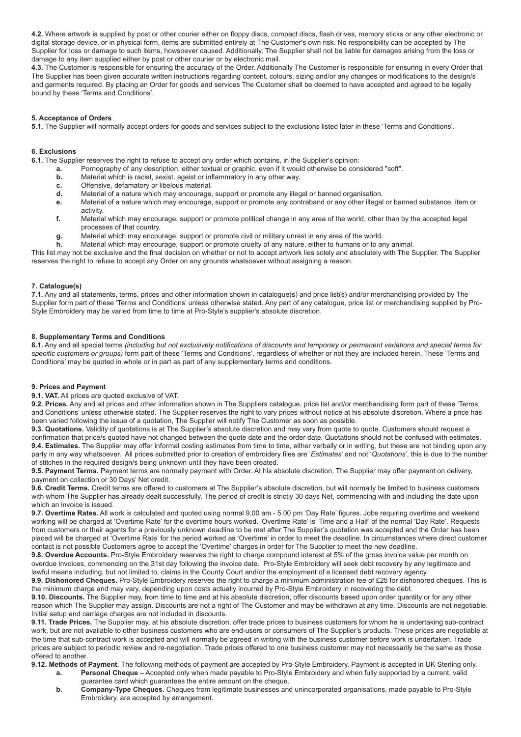**4.2.** Where artwork is supplied by post or other courier either on floppy discs, compact discs, flash drives, memory sticks or any other electronic or digital storage device, or in physical form, items are submitted entirely at The Customer's own risk. No responsibility can be accepted by The Supplier for loss or damage to such items, howsoever caused. Additionally, The Supplier shall not be liable for damages arising from the loss or damage to any item supplied either by post or other courier or by electronic mail.

**4.3.** The Customer is responsible for ensuring the accuracy of the Order. Additionally The Customer is responsible for ensuring in every Order that The Supplier has been given accurate written instructions regarding content, colours, sizing and/or any changes or modifications to the design/s and garments required. By placing an Order for goods and services The Customer shall be deemed to have accepted and agreed to be legally bound by these 'Terms and Conditions'.

# **5. Acceptance of Orders**

**5.1.** The Supplier will normally accept orders for goods and services subject to the exclusions listed later in these 'Terms and Conditions'.

#### **6. Exclusions**

**6.1.** The Supplier reserves the right to refuse to accept any order which contains, in the Supplier's opinion:

- **a.** Pornography of any description, either textual or graphic, even if it would otherwise be considered "soft".<br> **b.** Material which is racist, sexist, ageist or inflammatory in any other way.
- **b.** Material which is racist, sexist, ageist or inflammatory in any other way.
- **c.** Offensive, defamatory or libelous material.
- **d.** Material of a nature which may encourage, support or promote any illegal or banned organisation.
- **e.** Material of a nature which may encourage, support or promote any contraband or any other illegal or banned substance, item or activity.
- **f.** Material which may encourage, support or promote political change in any area of the world, other than by the accepted legal processes of that country.
- **g.** Material which may encourage, support or promote civil or military unrest in any area of the world.
- **h.** Material which may encourage, support or promote cruelty of any nature, either to humans or to any animal.

This list may not be exclusive and the final decision on whether or not to accept artwork lies solely and absolutely with The Supplier. The Supplier reserves the right to refuse to accept any Order on any grounds whatsoever without assigning a reason.

#### **7. Catalogue(s)**

**7.1.** Any and all statements, terms, prices and other information shown in catalogue(s) and price list(s) and/or merchandising provided by The Supplier form part of these 'Terms and Conditions' unless otherwise stated. Any part of any catalogue, price list or merchandising supplied by Pro-Style Embroidery may be varied from time to time at Pro-Style's supplier's absolute discretion.

#### **8. Supplementary Terms and Conditions**

8.1. Any and all special terms (including but not exclusively notifications of discounts and temporary or permanent variations and special terms for *specific customers or groups)* form part of these 'Terms and Conditions', regardless of whether or not they are included herein. These 'Terms and Conditions' may be quoted in whole or in part as part of any supplementary terms and conditions.

#### **9. Prices and Payment**

**9.1. VAT.** All prices are quoted exclusive of VAT.

**9.2. Prices.** Any and all prices and other information shown in The Suppliers catalogue, price list and/or merchandising form part of these 'Terms and Conditions' unless otherwise stated. The Supplier reserves the right to vary prices without notice at his absolute discretion. Where a price has been varied following the issue of a quotation, The Supplier will notify The Customer as soon as possible.

**9.3. Quotations.** Validity of quotations is at The Supplier's absolute discretion and may vary from quote to quote. Customers should request a confirmation that price/s quoted have not changed between the quote date and the order date. Quotations should not be confused with estimates. **9.4. Estimates.** The Supplier may offer informal costing estimates from time to time, either verbally or in writing, but these are not binding upon any party in any way whatsoever. All prices submitted prior to creation of embroidery files are '*Estimates*' and not '*Quotations*', this is due to the number of stitches in the required design/s being unknown until they have been created.

**9.5. Payment Terms.** Payment terms are normally payment with Order. At his absolute discretion, The Supplier may offer payment on delivery, payment on collection or 30 Days' Net credit.

**9.6. Credit Terms.** Credit terms are offered to customers at The Supplier's absolute discretion, but will normally be limited to business customers with whom The Supplier has already dealt successfully. The period of credit is strictly 30 days Net, commencing with and including the date upon which an invoice is issued.

**9.7. Overtime Rates.** All work is calculated and quoted using normal 9.00 am - 5.00 pm 'Day Rate' figures. Jobs requiring overtime and weekend working will be charged at 'Overtime Rate' for the overtime hours worked. 'Overtime Rate' is 'Time and a Half' of the normal 'Day Rate'. Requests from customers or their agents for a previously unknown deadline to be met after The Supplier's quotation was accepted and the Order has been placed will be charged at 'Overtime Rate' for the period worked as 'Overtime' in order to meet the deadline. In circumstances where direct customer contact is not possible Customers agree to accept the 'Overtime' charges in order for The Supplier to meet the new deadline.

**9.8. Overdue Accounts.** Pro-Style Embroidery reserves the right to charge compound interest at 5% of the gross invoice value per month on overdue invoices, commencing on the 31st day following the invoice date. Pro-Style Embroidery will seek debt recovery by any legitimate and lawful means including, but not limited to, claims in the County Court and/or the employment of a licensed debt recovery agency.

**9.9. Dishonored Cheques.** Pro-Style Embroidery reserves the right to charge a minimum administration fee of £25 for dishonored cheques. This is the minimum charge and may vary, depending upon costs actually incurred by Pro-Style Embroidery in recovering the debt.

**9.10. Discounts.** The Supplier may, from time to time and at his absolute discretion, offer discounts based upon order quantity or for any other reason which The Supplier may assign. Discounts are not a right of The Customer and may be withdrawn at any time. Discounts are not negotiable. Initial setup and carriage charges are not included in discounts.

**9.11. Trade Prices.** The Supplier may, at his absolute discretion, offer trade prices to business customers for whom he is undertaking sub-contract work, but are not available to other business customers who are end-users or consumers of The Supplier's products. These prices are negotiable at the time that sub-contract work is accepted and will normally be agreed in writing with the business customer before work is undertaken. Trade prices are subject to periodic review and re-negotiation. Trade prices offered to one business customer may not necessarily be the same as those offered to another.

**9.12. Methods of Payment.** The following methods of payment are accepted by Pro-Style Embroidery. Payment is accepted in UK Sterling only. **a. Personal Cheque** – Accepted only when made payable to Pro-Style Embroidery and when fully supported by a current, valid

- guarantee card which guarantees the entire amount on the cheque.
- **b. Company-Type Cheques.** Cheques from legitimate businesses and unincorporated organisations, made payable to Pro-Style Embroidery, are accepted by arrangement.